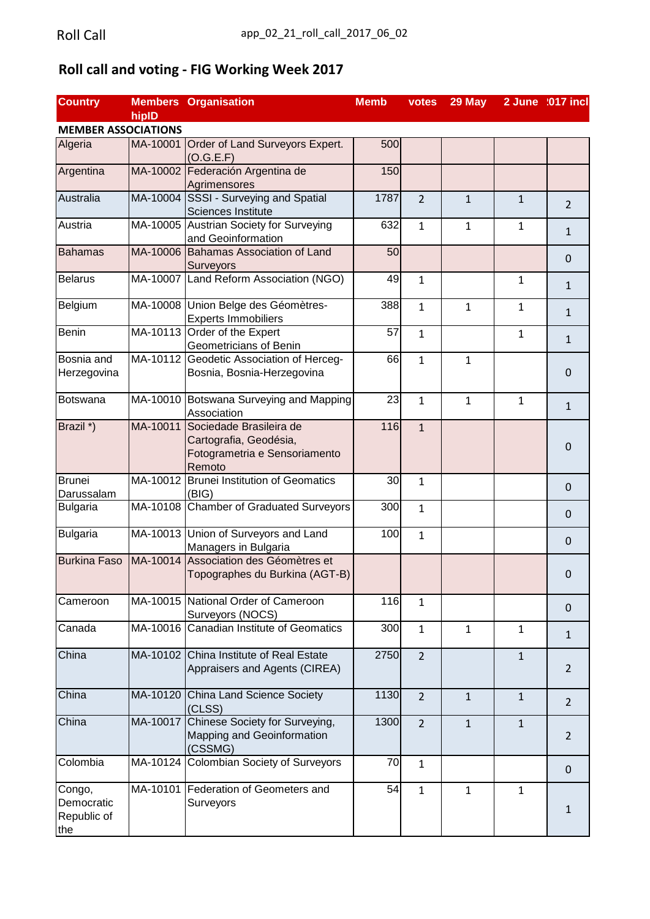## **Roll call and voting - FIG Working Week 2017**

| <b>Country</b>             |          | <b>Members Organisation</b>              | <b>Memb</b> | votes          | 29 May       |              | 2 June :017 incl |
|----------------------------|----------|------------------------------------------|-------------|----------------|--------------|--------------|------------------|
|                            | hipID    |                                          |             |                |              |              |                  |
| <b>MEMBER ASSOCIATIONS</b> |          |                                          |             |                |              |              |                  |
| Algeria                    |          | MA-10001 Order of Land Surveyors Expert. | 500         |                |              |              |                  |
|                            |          | (O.G.E.F)                                |             |                |              |              |                  |
| Argentina                  |          | MA-10002 Federación Argentina de         | 150         |                |              |              |                  |
|                            |          | Agrimensores                             |             |                |              |              |                  |
| Australia                  | MA-10004 | SSSI - Surveying and Spatial             | 1787        | $\overline{2}$ | $\mathbf{1}$ | $\mathbf{1}$ |                  |
|                            |          | <b>Sciences Institute</b>                |             |                |              |              | 2                |
| Austria                    |          | MA-10005 Austrian Society for Surveying  | 632         | $\mathbf{1}$   | $\mathbf{1}$ | $\mathbf{1}$ |                  |
|                            |          | and Geoinformation                       |             |                |              |              | $\mathbf{1}$     |
| <b>Bahamas</b>             |          | MA-10006 Bahamas Association of Land     | 50          |                |              |              |                  |
|                            |          | Surveyors                                |             |                |              |              | $\mathbf 0$      |
| <b>Belarus</b>             |          | MA-10007 Land Reform Association (NGO)   | 49          | $\mathbf{1}$   |              | 1            |                  |
|                            |          |                                          |             |                |              |              | $\mathbf{1}$     |
| Belgium                    |          | MA-10008 Union Belge des Géomètres-      | 388         | $\mathbf{1}$   | $\mathbf{1}$ | $\mathbf{1}$ |                  |
|                            |          | <b>Experts Immobiliers</b>               |             |                |              |              | $\mathbf{1}$     |
| Benin                      |          | MA-10113 Order of the Expert             | 57          | $\mathbf{1}$   |              | $\mathbf{1}$ |                  |
|                            |          | Geometricians of Benin                   |             |                |              |              | $\mathbf{1}$     |
| Bosnia and                 |          | MA-10112 Geodetic Association of Herceg- | 66          | $\mathbf{1}$   | $\mathbf{1}$ |              |                  |
| Herzegovina                |          | Bosnia, Bosnia-Herzegovina               |             |                |              |              | $\mathbf 0$      |
|                            |          |                                          |             |                |              |              |                  |
| Botswana                   |          | MA-10010 Botswana Surveying and Mapping  | 23          | $\mathbf{1}$   | $\mathbf{1}$ | $\mathbf{1}$ |                  |
|                            |          | Association                              |             |                |              |              | $\mathbf{1}$     |
| Brazil *)                  |          | MA-10011 Sociedade Brasileira de         | 116         | $\mathbf{1}$   |              |              |                  |
|                            |          | Cartografia, Geodésia,                   |             |                |              |              |                  |
|                            |          | Fotogrametria e Sensoriamento            |             |                |              |              | $\mathbf 0$      |
|                            |          | Remoto                                   |             |                |              |              |                  |
| <b>Brunei</b>              |          | MA-10012 Brunei Institution of Geomatics | 30          | $\mathbf{1}$   |              |              |                  |
| Darussalam                 |          | (BIG)                                    |             |                |              |              | $\mathbf 0$      |
| <b>Bulgaria</b>            |          | MA-10108 Chamber of Graduated Surveyors  | 300         | $\mathbf{1}$   |              |              |                  |
|                            |          |                                          |             |                |              |              | $\mathbf 0$      |
| <b>Bulgaria</b>            |          | MA-10013 Union of Surveyors and Land     | 100         | $\mathbf{1}$   |              |              |                  |
|                            |          | Managers in Bulgaria                     |             |                |              |              | $\mathbf 0$      |
| <b>Burkina Faso</b>        | MA-10014 | Association des Géomètres et             |             |                |              |              |                  |
|                            |          | Topographes du Burkina (AGT-B)           |             |                |              |              | $\mathbf 0$      |
|                            |          |                                          |             |                |              |              |                  |
| Cameroon                   |          | MA-10015 National Order of Cameroon      | 116         | $\mathbf{1}$   |              |              |                  |
|                            |          | Surveyors (NOCS)                         |             |                |              |              | $\Omega$         |
| Canada                     |          | MA-10016 Canadian Institute of Geomatics | 300         | $\mathbf{1}$   | $\mathbf{1}$ | $\mathbf{1}$ |                  |
|                            |          |                                          |             |                |              |              | $\mathbf{1}$     |
| China                      |          | MA-10102 China Institute of Real Estate  | 2750        | $\overline{2}$ |              | $\mathbf{1}$ |                  |
|                            |          | Appraisers and Agents (CIREA)            |             |                |              |              | $\overline{2}$   |
|                            |          |                                          |             |                |              |              |                  |
| China                      |          | MA-10120 China Land Science Society      | 1130        | $\overline{2}$ | $\mathbf{1}$ | $\mathbf{1}$ |                  |
|                            |          | (CLSS)                                   |             |                |              |              | $\overline{2}$   |
| China                      |          | MA-10017 Chinese Society for Surveying,  | 1300        | $\overline{2}$ | $\mathbf{1}$ | $\mathbf{1}$ |                  |
|                            |          | Mapping and Geoinformation               |             |                |              |              | $\overline{2}$   |
|                            |          | (CSSMG)                                  |             |                |              |              |                  |
| Colombia                   |          | MA-10124 Colombian Society of Surveyors  | 70          | $\mathbf{1}$   |              |              |                  |
|                            |          |                                          |             |                |              |              | $\mathbf 0$      |
| Congo,                     | MA-10101 | Federation of Geometers and              | 54          | $\mathbf{1}$   | $\mathbf{1}$ | $\mathbf{1}$ |                  |
| Democratic                 |          | Surveyors                                |             |                |              |              |                  |
| Republic of                |          |                                          |             |                |              |              | $\mathbf{1}$     |
| the                        |          |                                          |             |                |              |              |                  |
|                            |          |                                          |             |                |              |              |                  |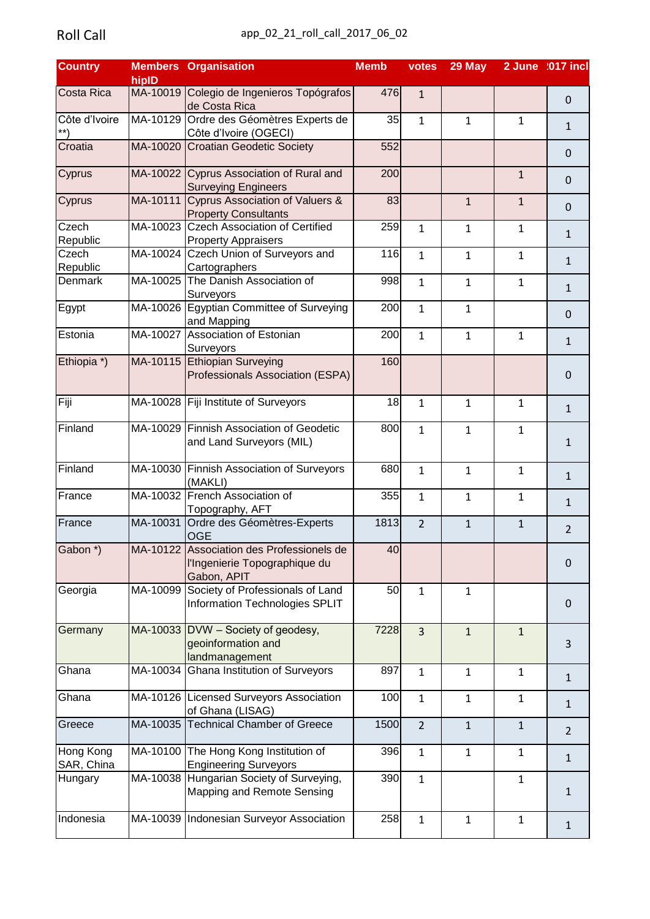| <b>Country</b>             |          | <b>Members Organisation</b>                                                               | <b>Memb</b> | votes          | 29 May       |              | 2 June :017 incl |
|----------------------------|----------|-------------------------------------------------------------------------------------------|-------------|----------------|--------------|--------------|------------------|
|                            | hipID    |                                                                                           |             |                |              |              |                  |
| Costa Rica                 |          | MA-10019 Colegio de Ingenieros Topógrafos<br>de Costa Rica                                | 476         | 1              |              |              | $\mathbf 0$      |
| Côte d'Ivoire              |          | MA-10129 Ordre des Géomètres Experts de<br>Côte d'Ivoire (OGECI)                          | 35          | $\mathbf{1}$   | $\mathbf{1}$ | $\mathbf{1}$ | $\mathbf{1}$     |
| Croatia                    |          | MA-10020 Croatian Geodetic Society                                                        | 552         |                |              |              | $\mathbf 0$      |
| Cyprus                     |          | MA-10022 Cyprus Association of Rural and                                                  | 200         |                |              | $\mathbf{1}$ | $\mathbf 0$      |
| Cyprus                     |          | <b>Surveying Engineers</b><br>MA-10111 Cyprus Association of Valuers &                    | 83          |                | $\mathbf{1}$ | $\mathbf{1}$ | $\mathbf 0$      |
| Czech                      | MA-10023 | <b>Property Consultants</b><br><b>Czech Association of Certified</b>                      | 259         | 1              | $\mathbf{1}$ | $\mathbf{1}$ | $\mathbf{1}$     |
| <b>Republic</b><br>Czech   | MA-10024 | <b>Property Appraisers</b><br>Czech Union of Surveyors and                                | 116         | $\mathbf{1}$   | $\mathbf{1}$ | $\mathbf{1}$ |                  |
| <b>Republic</b><br>Denmark | MA-10025 | Cartographers<br>The Danish Association of                                                | 998         | $\mathbf{1}$   | $\mathbf{1}$ | 1            | $\mathbf{1}$     |
| Egypt                      |          | Surveyors<br>MA-10026 Egyptian Committee of Surveying                                     | 200         | $\mathbf{1}$   | $\mathbf{1}$ |              | $\mathbf{1}$     |
|                            |          | and Mapping                                                                               |             |                |              |              | $\mathbf 0$      |
| Estonia                    |          | MA-10027 Association of Estonian<br>Surveyors                                             | 200         | $\mathbf{1}$   | $\mathbf{1}$ | $\mathbf{1}$ | $\mathbf{1}$     |
| Ethiopia *)                |          | MA-10115 Ethiopian Surveying<br>Professionals Association (ESPA)                          | 160         |                |              |              | $\mathbf 0$      |
| Fiji                       | MA-10028 | Fiji Institute of Surveyors                                                               | 18          | 1              | $\mathbf{1}$ | $\mathbf{1}$ | $\mathbf{1}$     |
| Finland                    |          | MA-10029 Finnish Association of Geodetic<br>and Land Surveyors (MIL)                      | 800         | 1              | $\mathbf{1}$ | 1            | $\mathbf{1}$     |
| Finland                    |          | MA-10030 Finnish Association of Surveyors<br>(MAKLI)                                      | 680         | $\mathbf{1}$   | $\mathbf{1}$ | $\mathbf{1}$ | $\mathbf{1}$     |
| France                     |          | MA-10032 French Association of<br>Topography, AFT                                         | 355         | $\mathbf{1}$   | $\mathbf{1}$ | $\mathbf{1}$ | $\mathbf{1}$     |
| France                     |          | MA-10031 Ordre des Géomètres-Experts<br><b>OGE</b>                                        | 1813        | $\overline{2}$ | $\mathbf{1}$ | $\mathbf{1}$ | $\overline{2}$   |
| Gabon <sup>*</sup> )       |          | MA-10122 Association des Professionels de<br>l'Ingenierie Topographique du<br>Gabon, APIT | 40          |                |              |              | $\mathbf 0$      |
| Georgia                    | MA-10099 | Society of Professionals of Land<br>Information Technologies SPLIT                        | 50          | 1              | $\mathbf{1}$ |              | $\mathbf 0$      |
| Germany                    |          | MA-10033 DVW - Society of geodesy,<br>geoinformation and<br>landmanagement                | 7228        | 3              | $\mathbf{1}$ | $\mathbf{1}$ | 3                |
| Ghana                      | MA-10034 | <b>Ghana Institution of Surveyors</b>                                                     | 897         | $\mathbf{1}$   | $\mathbf{1}$ | $\mathbf{1}$ | $\mathbf{1}$     |
| Ghana                      |          | MA-10126 Licensed Surveyors Association<br>of Ghana (LISAG)                               | 100         | $\mathbf{1}$   | $\mathbf{1}$ | $\mathbf{1}$ | $\mathbf{1}$     |
| Greece                     | MA-10035 | <b>Technical Chamber of Greece</b>                                                        | 1500        | $\overline{2}$ | $\mathbf{1}$ | $\mathbf{1}$ | $\overline{2}$   |
| Hong Kong<br>SAR, China    | MA-10100 | The Hong Kong Institution of<br><b>Engineering Surveyors</b>                              | 396         | $\mathbf{1}$   | $\mathbf{1}$ | $\mathbf{1}$ | $\mathbf{1}$     |
| Hungary                    |          | MA-10038 Hungarian Society of Surveying,<br>Mapping and Remote Sensing                    | 390         | $\mathbf{1}$   |              | $\mathbf{1}$ | 1                |
| Indonesia                  |          | MA-10039   Indonesian Surveyor Association                                                | 258         | $\mathbf{1}$   | $\mathbf{1}$ | $\mathbf 1$  | $\mathbf{1}$     |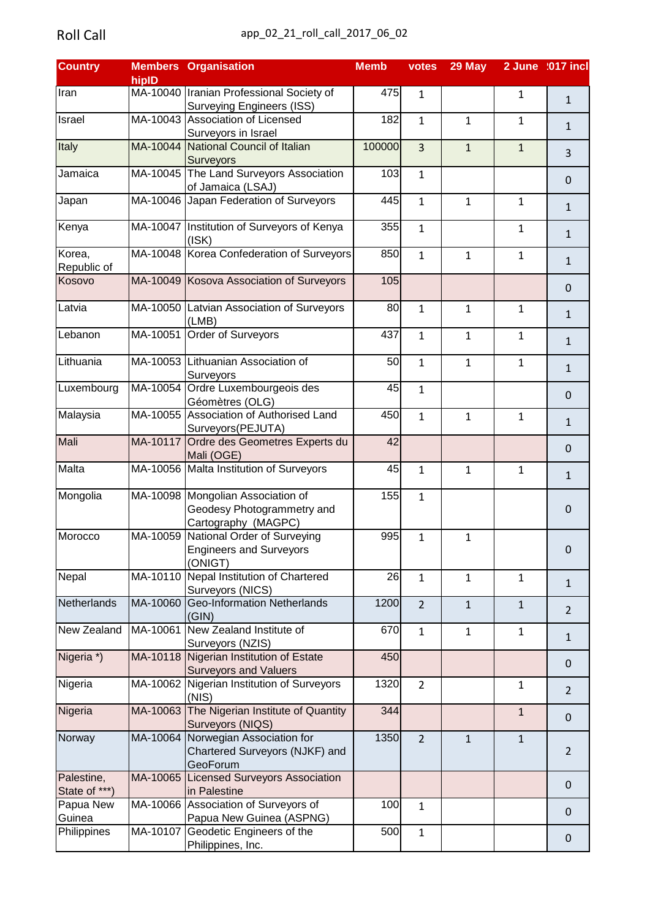| <b>Country</b> |          | <b>Members Organisation</b>                  | <b>Memb</b> | votes          | 29 May       |              | 2 June :017 incl |
|----------------|----------|----------------------------------------------|-------------|----------------|--------------|--------------|------------------|
|                | hiplD    |                                              |             |                |              |              |                  |
| Iran           |          | MA-10040   Iranian Professional Society of   | 475         | 1              |              | $\mathbf{1}$ | $\mathbf{1}$     |
|                |          | <b>Surveying Engineers (ISS)</b>             |             |                |              |              |                  |
| Israel         |          | MA-10043 Association of Licensed             | 182         | $\mathbf{1}$   | $\mathbf{1}$ | $\mathbf{1}$ | $\mathbf{1}$     |
|                |          | Surveyors in Israel                          |             |                |              |              |                  |
| Italy          |          | MA-10044 National Council of Italian         | 100000      | 3              | $\mathbf{1}$ | $\mathbf{1}$ |                  |
|                |          | <b>Surveyors</b>                             |             |                |              |              | $\overline{3}$   |
| Jamaica        |          | MA-10045 The Land Surveyors Association      | 103         | $\mathbf{1}$   |              |              |                  |
|                |          | of Jamaica (LSAJ)                            |             |                |              |              | $\mathbf 0$      |
| Japan          |          | MA-10046 Japan Federation of Surveyors       | 445         | $\mathbf{1}$   | $\mathbf{1}$ | $\mathbf{1}$ |                  |
|                |          |                                              |             |                |              |              | $\mathbf{1}$     |
| Kenya          |          | MA-10047   Institution of Surveyors of Kenya | 355         | $\mathbf{1}$   |              | 1            |                  |
|                |          | (ISK)                                        |             |                |              |              | $\mathbf{1}$     |
| Korea,         |          | MA-10048 Korea Confederation of Surveyors    | 850         | $\mathbf{1}$   | $\mathbf{1}$ | 1            |                  |
| Republic of    |          |                                              |             |                |              |              | $\mathbf{1}$     |
| Kosovo         |          | MA-10049 Kosova Association of Surveyors     | 105         |                |              |              |                  |
|                |          |                                              |             |                |              |              | $\mathbf 0$      |
| Latvia         |          |                                              | 80          |                |              |              |                  |
|                |          | MA-10050 Latvian Association of Surveyors    |             | $\mathbf{1}$   | $\mathbf{1}$ | $\mathbf{1}$ | $\mathbf{1}$     |
|                |          | (LMB)                                        |             |                |              |              |                  |
| Lebanon        |          | MA-10051 Order of Surveyors                  | 437         | 1              | 1            | $\mathbf{1}$ | $1\,$            |
|                |          |                                              |             |                |              |              |                  |
| Lithuania      |          | MA-10053 Lithuanian Association of           | 50          | $\mathbf{1}$   | $\mathbf{1}$ | $\mathbf{1}$ | $\mathbf{1}$     |
|                |          | Surveyors                                    |             |                |              |              |                  |
| Luxembourg     |          | MA-10054 Ordre Luxembourgeois des            | 45          | 1              |              |              | $\mathbf 0$      |
|                |          | Géomètres (OLG)                              |             |                |              |              |                  |
| Malaysia       |          | MA-10055 Association of Authorised Land      | 450         | 1              | $\mathbf{1}$ | $\mathbf{1}$ | $\mathbf{1}$     |
|                |          | Surveyors(PEJUTA)                            |             |                |              |              |                  |
| Mali           |          | MA-10117 Ordre des Geometres Experts du      | 42          |                |              |              | $\mathbf 0$      |
|                |          | Mali (OGE)                                   |             |                |              |              |                  |
| Malta          |          | MA-10056 Malta Institution of Surveyors      | 45          | $\mathbf{1}$   | $\mathbf{1}$ | $\mathbf{1}$ |                  |
|                |          |                                              |             |                |              |              | $\mathbf{1}$     |
| Mongolia       |          | MA-10098 Mongolian Association of            | 155         | $\mathbf{1}$   |              |              |                  |
|                |          | Geodesy Photogrammetry and                   |             |                |              |              | $\boldsymbol{0}$ |
|                |          | Cartography (MAGPC)                          |             |                |              |              |                  |
| Morocco        |          | MA-10059 National Order of Surveying         | 995         | $\mathbf{1}$   | $\mathbf{1}$ |              |                  |
|                |          | <b>Engineers and Surveyors</b>               |             |                |              |              | $\mathbf 0$      |
|                |          | (ONIGT)                                      |             |                |              |              |                  |
| Nepal          |          | MA-10110 Nepal Institution of Chartered      | 26          | 1              | $\mathbf{1}$ | $\mathbf{1}$ |                  |
|                |          | Surveyors (NICS)                             |             |                |              |              | $\mathbf{1}$     |
| Netherlands    | MA-10060 | <b>Geo-Information Netherlands</b>           | 1200        | $\overline{2}$ | $\mathbf{1}$ | $\mathbf{1}$ |                  |
|                |          | (GIN)                                        |             |                |              |              | $\overline{2}$   |
| New Zealand    |          | MA-10061 New Zealand Institute of            | 670         | $\mathbf{1}$   | $\mathbf{1}$ | $\mathbf{1}$ |                  |
|                |          | Surveyors (NZIS)                             |             |                |              |              | $\mathbf{1}$     |
| Nigeria *)     |          | MA-10118 Nigerian Institution of Estate      | 450         |                |              |              |                  |
|                |          | <b>Surveyors and Valuers</b>                 |             |                |              |              | $\mathbf 0$      |
|                |          |                                              |             |                |              |              |                  |
| Nigeria        |          | MA-10062 Nigerian Institution of Surveyors   | 1320        | $\overline{2}$ |              | $\mathbf 1$  | $\overline{2}$   |
|                |          | (NIS)                                        |             |                |              |              |                  |
| Nigeria        |          | MA-10063 The Nigerian Institute of Quantity  | 344         |                |              | $\mathbf{1}$ | $\mathbf 0$      |
|                |          | Surveyors (NIQS)                             |             |                |              |              |                  |
| Norway         |          | MA-10064 Norwegian Association for           | 1350        | $\overline{2}$ | $\mathbf{1}$ | $\mathbf{1}$ |                  |
|                |          | Chartered Surveyors (NJKF) and               |             |                |              |              | $\overline{2}$   |
|                |          | GeoForum                                     |             |                |              |              |                  |
| Palestine,     |          | MA-10065 Licensed Surveyors Association      |             |                |              |              | $\mathbf 0$      |
| State of ***)  |          | in Palestine                                 |             |                |              |              |                  |
| Papua New      |          | MA-10066 Association of Surveyors of         | 100         | $\mathbf{1}$   |              |              | $\mathbf 0$      |
| Guinea         |          | Papua New Guinea (ASPNG)                     |             |                |              |              |                  |
| Philippines    |          | MA-10107 Geodetic Engineers of the           | 500         | $\mathbf{1}$   |              |              | $\mathbf 0$      |
|                |          | Philippines, Inc.                            |             |                |              |              |                  |
|                |          |                                              |             |                |              |              |                  |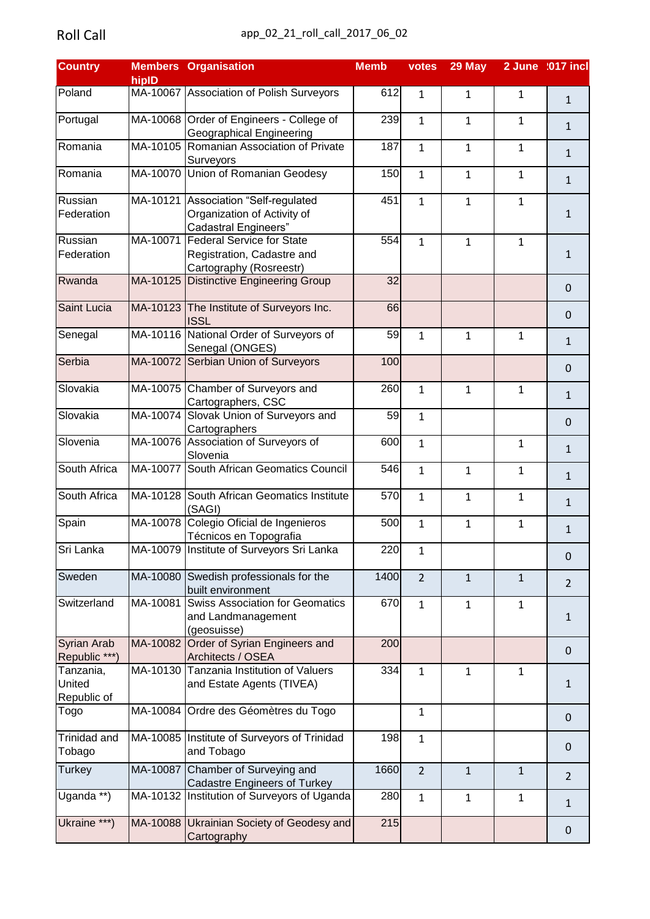| hiplD<br>Poland<br>MA-10067 Association of Polish Surveyors<br>612<br>1<br>$\mathbf{1}$<br>$\mathbf{1}$<br>$\mathbf{1}$<br>MA-10068 Order of Engineers - College of<br>239<br>$\mathbf{1}$<br>$\mathbf{1}$<br>$\mathbf{1}$<br>$\mathbf{1}$<br><b>Geographical Engineering</b><br>MA-10105 Romanian Association of Private<br>187<br>$\mathbf{1}$<br>$\mathbf{1}$<br>$\mathbf{1}$<br>$\mathbf{1}$<br>Surveyors<br>MA-10070 Union of Romanian Geodesy<br>150<br>$\mathbf{1}$<br>$\mathbf{1}$<br>$\mathbf{1}$<br>$\mathbf{1}$<br>Russian<br>MA-10121 Association "Self-regulated<br>451<br>$\mathbf{1}$<br>$\mathbf{1}$<br>$\mathbf{1}$<br>Organization of Activity of<br>$\mathbf{1}$<br><b>Cadastral Engineers"</b><br>Russian<br>MA-10071 Federal Service for State<br>554<br>$\mathbf{1}$<br>$\mathbf{1}$<br>$\mathbf{1}$<br>Registration, Cadastre and<br>$\mathbf{1}$<br>Cartography (Rosreestr)<br>MA-10125 Distinctive Engineering Group<br>32<br>$\mathbf 0$<br>MA-10123 The Institute of Surveyors Inc.<br>66<br>$\mathbf 0$<br><b>ISSL</b><br>MA-10116 National Order of Surveyors of<br>59<br>1<br>$\mathbf{1}$<br>$\mathbf{1}$<br>$\mathbf{1}$<br>Senegal (ONGES)<br>MA-10072 Serbian Union of Surveyors<br>100<br>$\mathbf 0$<br>MA-10075 Chamber of Surveyors and<br>260<br>$\mathbf{1}$<br>$\mathbf{1}$<br>$\mathbf{1}$<br>$\mathbf{1}$<br>Cartographers, CSC<br>MA-10074 Slovak Union of Surveyors and<br>59<br>$\mathbf{1}$<br>$\mathbf 0$<br>Cartographers<br>MA-10076 Association of Surveyors of<br>600<br>$\mathbf{1}$<br>$\mathbf{1}$<br>$\mathbf{1}$<br>Slovenia<br>MA-10077 South African Geomatics Council<br>546<br>$\mathbf{1}$<br>$\mathbf{1}$<br>$\mathbf{1}$<br>$\mathbf{1}$<br>MA-10128 South African Geomatics Institute<br>570<br>$\mathbf{1}$<br>$\mathbf{1}$<br>$\mathbf{1}$<br>$\mathbf{1}$<br>(SAGI)<br>MA-10078 Colegio Oficial de Ingenieros<br>500<br>$\mathbf{1}$<br>$\mathbf{1}$<br>$\mathbf{1}$<br>$\mathbf 1$<br>Técnicos en Topografia<br>MA-10079 Institute of Surveyors Sri Lanka<br>220<br>1<br>$\mathbf 0$<br>MA-10080 Swedish professionals for the<br>1400<br>$\overline{2}$<br>$\mathbf{1}$<br>$\mathbf{1}$<br>$\overline{2}$<br>built environment<br>MA-10081<br><b>Swiss Association for Geomatics</b><br>670<br>$\mathbf{1}$<br>$\mathbf{1}$<br>$\mathbf{1}$<br>and Landmanagement<br>1<br>(geosuisse)<br>MA-10082 Order of Syrian Engineers and<br>200<br>$\mathbf 0$<br>Republic ***)<br>Architects / OSEA<br>MA-10130<br>Tanzania Institution of Valuers<br>334<br>$\mathbf{1}$<br>$\mathbf{1}$<br>$\mathbf{1}$<br>and Estate Agents (TIVEA)<br>1<br>Republic of<br>MA-10084 Ordre des Géomètres du Togo<br>$\mathbf{1}$<br>$\Omega$<br>MA-10085   Institute of Surveyors of Trinidad<br>198<br>$\mathbf{1}$<br>$\mathbf 0$<br>Tobago<br>and Tobago<br>MA-10087 Chamber of Surveying and<br>1660<br>$\overline{2}$<br>$\mathbf{1}$<br>$\mathbf{1}$<br>$\overline{2}$<br><b>Cadastre Engineers of Turkey</b><br>MA-10132 Institution of Surveyors of Uganda<br>280<br>1<br>$\mathbf{1}$<br>$\mathbf{1}$<br>$\mathbf{1}$<br>MA-10088 Ukrainian Society of Geodesy and<br>215<br>$\mathbf 0$<br>Cartography | <b>Country</b>             | <b>Members Organisation</b> | <b>Memb</b> | votes | 29 May | 2 June :017 incl |
|------------------------------------------------------------------------------------------------------------------------------------------------------------------------------------------------------------------------------------------------------------------------------------------------------------------------------------------------------------------------------------------------------------------------------------------------------------------------------------------------------------------------------------------------------------------------------------------------------------------------------------------------------------------------------------------------------------------------------------------------------------------------------------------------------------------------------------------------------------------------------------------------------------------------------------------------------------------------------------------------------------------------------------------------------------------------------------------------------------------------------------------------------------------------------------------------------------------------------------------------------------------------------------------------------------------------------------------------------------------------------------------------------------------------------------------------------------------------------------------------------------------------------------------------------------------------------------------------------------------------------------------------------------------------------------------------------------------------------------------------------------------------------------------------------------------------------------------------------------------------------------------------------------------------------------------------------------------------------------------------------------------------------------------------------------------------------------------------------------------------------------------------------------------------------------------------------------------------------------------------------------------------------------------------------------------------------------------------------------------------------------------------------------------------------------------------------------------------------------------------------------------------------------------------------------------------------------------------------------------------------------------------------------------------------------------------------------------------------------------------------------------------------------------------------------------------------------------------------------------------------------------------------------------------------------------------------------------------------------------------------------------------------------------------------------------------------------------------------------------------------------------------------------------|----------------------------|-----------------------------|-------------|-------|--------|------------------|
|                                                                                                                                                                                                                                                                                                                                                                                                                                                                                                                                                                                                                                                                                                                                                                                                                                                                                                                                                                                                                                                                                                                                                                                                                                                                                                                                                                                                                                                                                                                                                                                                                                                                                                                                                                                                                                                                                                                                                                                                                                                                                                                                                                                                                                                                                                                                                                                                                                                                                                                                                                                                                                                                                                                                                                                                                                                                                                                                                                                                                                                                                                                                                                  |                            |                             |             |       |        |                  |
|                                                                                                                                                                                                                                                                                                                                                                                                                                                                                                                                                                                                                                                                                                                                                                                                                                                                                                                                                                                                                                                                                                                                                                                                                                                                                                                                                                                                                                                                                                                                                                                                                                                                                                                                                                                                                                                                                                                                                                                                                                                                                                                                                                                                                                                                                                                                                                                                                                                                                                                                                                                                                                                                                                                                                                                                                                                                                                                                                                                                                                                                                                                                                                  |                            |                             |             |       |        |                  |
|                                                                                                                                                                                                                                                                                                                                                                                                                                                                                                                                                                                                                                                                                                                                                                                                                                                                                                                                                                                                                                                                                                                                                                                                                                                                                                                                                                                                                                                                                                                                                                                                                                                                                                                                                                                                                                                                                                                                                                                                                                                                                                                                                                                                                                                                                                                                                                                                                                                                                                                                                                                                                                                                                                                                                                                                                                                                                                                                                                                                                                                                                                                                                                  | Portugal                   |                             |             |       |        |                  |
|                                                                                                                                                                                                                                                                                                                                                                                                                                                                                                                                                                                                                                                                                                                                                                                                                                                                                                                                                                                                                                                                                                                                                                                                                                                                                                                                                                                                                                                                                                                                                                                                                                                                                                                                                                                                                                                                                                                                                                                                                                                                                                                                                                                                                                                                                                                                                                                                                                                                                                                                                                                                                                                                                                                                                                                                                                                                                                                                                                                                                                                                                                                                                                  | Romania                    |                             |             |       |        |                  |
|                                                                                                                                                                                                                                                                                                                                                                                                                                                                                                                                                                                                                                                                                                                                                                                                                                                                                                                                                                                                                                                                                                                                                                                                                                                                                                                                                                                                                                                                                                                                                                                                                                                                                                                                                                                                                                                                                                                                                                                                                                                                                                                                                                                                                                                                                                                                                                                                                                                                                                                                                                                                                                                                                                                                                                                                                                                                                                                                                                                                                                                                                                                                                                  | Romania                    |                             |             |       |        |                  |
|                                                                                                                                                                                                                                                                                                                                                                                                                                                                                                                                                                                                                                                                                                                                                                                                                                                                                                                                                                                                                                                                                                                                                                                                                                                                                                                                                                                                                                                                                                                                                                                                                                                                                                                                                                                                                                                                                                                                                                                                                                                                                                                                                                                                                                                                                                                                                                                                                                                                                                                                                                                                                                                                                                                                                                                                                                                                                                                                                                                                                                                                                                                                                                  |                            |                             |             |       |        |                  |
|                                                                                                                                                                                                                                                                                                                                                                                                                                                                                                                                                                                                                                                                                                                                                                                                                                                                                                                                                                                                                                                                                                                                                                                                                                                                                                                                                                                                                                                                                                                                                                                                                                                                                                                                                                                                                                                                                                                                                                                                                                                                                                                                                                                                                                                                                                                                                                                                                                                                                                                                                                                                                                                                                                                                                                                                                                                                                                                                                                                                                                                                                                                                                                  | Federation                 |                             |             |       |        |                  |
|                                                                                                                                                                                                                                                                                                                                                                                                                                                                                                                                                                                                                                                                                                                                                                                                                                                                                                                                                                                                                                                                                                                                                                                                                                                                                                                                                                                                                                                                                                                                                                                                                                                                                                                                                                                                                                                                                                                                                                                                                                                                                                                                                                                                                                                                                                                                                                                                                                                                                                                                                                                                                                                                                                                                                                                                                                                                                                                                                                                                                                                                                                                                                                  |                            |                             |             |       |        |                  |
|                                                                                                                                                                                                                                                                                                                                                                                                                                                                                                                                                                                                                                                                                                                                                                                                                                                                                                                                                                                                                                                                                                                                                                                                                                                                                                                                                                                                                                                                                                                                                                                                                                                                                                                                                                                                                                                                                                                                                                                                                                                                                                                                                                                                                                                                                                                                                                                                                                                                                                                                                                                                                                                                                                                                                                                                                                                                                                                                                                                                                                                                                                                                                                  | Federation                 |                             |             |       |        |                  |
|                                                                                                                                                                                                                                                                                                                                                                                                                                                                                                                                                                                                                                                                                                                                                                                                                                                                                                                                                                                                                                                                                                                                                                                                                                                                                                                                                                                                                                                                                                                                                                                                                                                                                                                                                                                                                                                                                                                                                                                                                                                                                                                                                                                                                                                                                                                                                                                                                                                                                                                                                                                                                                                                                                                                                                                                                                                                                                                                                                                                                                                                                                                                                                  | Rwanda                     |                             |             |       |        |                  |
|                                                                                                                                                                                                                                                                                                                                                                                                                                                                                                                                                                                                                                                                                                                                                                                                                                                                                                                                                                                                                                                                                                                                                                                                                                                                                                                                                                                                                                                                                                                                                                                                                                                                                                                                                                                                                                                                                                                                                                                                                                                                                                                                                                                                                                                                                                                                                                                                                                                                                                                                                                                                                                                                                                                                                                                                                                                                                                                                                                                                                                                                                                                                                                  | <b>Saint Lucia</b>         |                             |             |       |        |                  |
|                                                                                                                                                                                                                                                                                                                                                                                                                                                                                                                                                                                                                                                                                                                                                                                                                                                                                                                                                                                                                                                                                                                                                                                                                                                                                                                                                                                                                                                                                                                                                                                                                                                                                                                                                                                                                                                                                                                                                                                                                                                                                                                                                                                                                                                                                                                                                                                                                                                                                                                                                                                                                                                                                                                                                                                                                                                                                                                                                                                                                                                                                                                                                                  | Senegal                    |                             |             |       |        |                  |
|                                                                                                                                                                                                                                                                                                                                                                                                                                                                                                                                                                                                                                                                                                                                                                                                                                                                                                                                                                                                                                                                                                                                                                                                                                                                                                                                                                                                                                                                                                                                                                                                                                                                                                                                                                                                                                                                                                                                                                                                                                                                                                                                                                                                                                                                                                                                                                                                                                                                                                                                                                                                                                                                                                                                                                                                                                                                                                                                                                                                                                                                                                                                                                  | Serbia                     |                             |             |       |        |                  |
|                                                                                                                                                                                                                                                                                                                                                                                                                                                                                                                                                                                                                                                                                                                                                                                                                                                                                                                                                                                                                                                                                                                                                                                                                                                                                                                                                                                                                                                                                                                                                                                                                                                                                                                                                                                                                                                                                                                                                                                                                                                                                                                                                                                                                                                                                                                                                                                                                                                                                                                                                                                                                                                                                                                                                                                                                                                                                                                                                                                                                                                                                                                                                                  | Slovakia                   |                             |             |       |        |                  |
|                                                                                                                                                                                                                                                                                                                                                                                                                                                                                                                                                                                                                                                                                                                                                                                                                                                                                                                                                                                                                                                                                                                                                                                                                                                                                                                                                                                                                                                                                                                                                                                                                                                                                                                                                                                                                                                                                                                                                                                                                                                                                                                                                                                                                                                                                                                                                                                                                                                                                                                                                                                                                                                                                                                                                                                                                                                                                                                                                                                                                                                                                                                                                                  | Slovakia                   |                             |             |       |        |                  |
|                                                                                                                                                                                                                                                                                                                                                                                                                                                                                                                                                                                                                                                                                                                                                                                                                                                                                                                                                                                                                                                                                                                                                                                                                                                                                                                                                                                                                                                                                                                                                                                                                                                                                                                                                                                                                                                                                                                                                                                                                                                                                                                                                                                                                                                                                                                                                                                                                                                                                                                                                                                                                                                                                                                                                                                                                                                                                                                                                                                                                                                                                                                                                                  | Slovenia                   |                             |             |       |        |                  |
|                                                                                                                                                                                                                                                                                                                                                                                                                                                                                                                                                                                                                                                                                                                                                                                                                                                                                                                                                                                                                                                                                                                                                                                                                                                                                                                                                                                                                                                                                                                                                                                                                                                                                                                                                                                                                                                                                                                                                                                                                                                                                                                                                                                                                                                                                                                                                                                                                                                                                                                                                                                                                                                                                                                                                                                                                                                                                                                                                                                                                                                                                                                                                                  | South Africa               |                             |             |       |        |                  |
|                                                                                                                                                                                                                                                                                                                                                                                                                                                                                                                                                                                                                                                                                                                                                                                                                                                                                                                                                                                                                                                                                                                                                                                                                                                                                                                                                                                                                                                                                                                                                                                                                                                                                                                                                                                                                                                                                                                                                                                                                                                                                                                                                                                                                                                                                                                                                                                                                                                                                                                                                                                                                                                                                                                                                                                                                                                                                                                                                                                                                                                                                                                                                                  | South Africa               |                             |             |       |        |                  |
|                                                                                                                                                                                                                                                                                                                                                                                                                                                                                                                                                                                                                                                                                                                                                                                                                                                                                                                                                                                                                                                                                                                                                                                                                                                                                                                                                                                                                                                                                                                                                                                                                                                                                                                                                                                                                                                                                                                                                                                                                                                                                                                                                                                                                                                                                                                                                                                                                                                                                                                                                                                                                                                                                                                                                                                                                                                                                                                                                                                                                                                                                                                                                                  | Spain                      |                             |             |       |        |                  |
|                                                                                                                                                                                                                                                                                                                                                                                                                                                                                                                                                                                                                                                                                                                                                                                                                                                                                                                                                                                                                                                                                                                                                                                                                                                                                                                                                                                                                                                                                                                                                                                                                                                                                                                                                                                                                                                                                                                                                                                                                                                                                                                                                                                                                                                                                                                                                                                                                                                                                                                                                                                                                                                                                                                                                                                                                                                                                                                                                                                                                                                                                                                                                                  | Sri Lanka                  |                             |             |       |        |                  |
|                                                                                                                                                                                                                                                                                                                                                                                                                                                                                                                                                                                                                                                                                                                                                                                                                                                                                                                                                                                                                                                                                                                                                                                                                                                                                                                                                                                                                                                                                                                                                                                                                                                                                                                                                                                                                                                                                                                                                                                                                                                                                                                                                                                                                                                                                                                                                                                                                                                                                                                                                                                                                                                                                                                                                                                                                                                                                                                                                                                                                                                                                                                                                                  | Sweden                     |                             |             |       |        |                  |
|                                                                                                                                                                                                                                                                                                                                                                                                                                                                                                                                                                                                                                                                                                                                                                                                                                                                                                                                                                                                                                                                                                                                                                                                                                                                                                                                                                                                                                                                                                                                                                                                                                                                                                                                                                                                                                                                                                                                                                                                                                                                                                                                                                                                                                                                                                                                                                                                                                                                                                                                                                                                                                                                                                                                                                                                                                                                                                                                                                                                                                                                                                                                                                  | Switzerland                |                             |             |       |        |                  |
|                                                                                                                                                                                                                                                                                                                                                                                                                                                                                                                                                                                                                                                                                                                                                                                                                                                                                                                                                                                                                                                                                                                                                                                                                                                                                                                                                                                                                                                                                                                                                                                                                                                                                                                                                                                                                                                                                                                                                                                                                                                                                                                                                                                                                                                                                                                                                                                                                                                                                                                                                                                                                                                                                                                                                                                                                                                                                                                                                                                                                                                                                                                                                                  | Syrian Arab                |                             |             |       |        |                  |
|                                                                                                                                                                                                                                                                                                                                                                                                                                                                                                                                                                                                                                                                                                                                                                                                                                                                                                                                                                                                                                                                                                                                                                                                                                                                                                                                                                                                                                                                                                                                                                                                                                                                                                                                                                                                                                                                                                                                                                                                                                                                                                                                                                                                                                                                                                                                                                                                                                                                                                                                                                                                                                                                                                                                                                                                                                                                                                                                                                                                                                                                                                                                                                  | Tanzania,<br><b>United</b> |                             |             |       |        |                  |
|                                                                                                                                                                                                                                                                                                                                                                                                                                                                                                                                                                                                                                                                                                                                                                                                                                                                                                                                                                                                                                                                                                                                                                                                                                                                                                                                                                                                                                                                                                                                                                                                                                                                                                                                                                                                                                                                                                                                                                                                                                                                                                                                                                                                                                                                                                                                                                                                                                                                                                                                                                                                                                                                                                                                                                                                                                                                                                                                                                                                                                                                                                                                                                  | Togo                       |                             |             |       |        |                  |
|                                                                                                                                                                                                                                                                                                                                                                                                                                                                                                                                                                                                                                                                                                                                                                                                                                                                                                                                                                                                                                                                                                                                                                                                                                                                                                                                                                                                                                                                                                                                                                                                                                                                                                                                                                                                                                                                                                                                                                                                                                                                                                                                                                                                                                                                                                                                                                                                                                                                                                                                                                                                                                                                                                                                                                                                                                                                                                                                                                                                                                                                                                                                                                  | Trinidad and               |                             |             |       |        |                  |
|                                                                                                                                                                                                                                                                                                                                                                                                                                                                                                                                                                                                                                                                                                                                                                                                                                                                                                                                                                                                                                                                                                                                                                                                                                                                                                                                                                                                                                                                                                                                                                                                                                                                                                                                                                                                                                                                                                                                                                                                                                                                                                                                                                                                                                                                                                                                                                                                                                                                                                                                                                                                                                                                                                                                                                                                                                                                                                                                                                                                                                                                                                                                                                  | <b>Turkey</b>              |                             |             |       |        |                  |
|                                                                                                                                                                                                                                                                                                                                                                                                                                                                                                                                                                                                                                                                                                                                                                                                                                                                                                                                                                                                                                                                                                                                                                                                                                                                                                                                                                                                                                                                                                                                                                                                                                                                                                                                                                                                                                                                                                                                                                                                                                                                                                                                                                                                                                                                                                                                                                                                                                                                                                                                                                                                                                                                                                                                                                                                                                                                                                                                                                                                                                                                                                                                                                  | Uganda **)                 |                             |             |       |        |                  |
|                                                                                                                                                                                                                                                                                                                                                                                                                                                                                                                                                                                                                                                                                                                                                                                                                                                                                                                                                                                                                                                                                                                                                                                                                                                                                                                                                                                                                                                                                                                                                                                                                                                                                                                                                                                                                                                                                                                                                                                                                                                                                                                                                                                                                                                                                                                                                                                                                                                                                                                                                                                                                                                                                                                                                                                                                                                                                                                                                                                                                                                                                                                                                                  | Ukraine ***)               |                             |             |       |        |                  |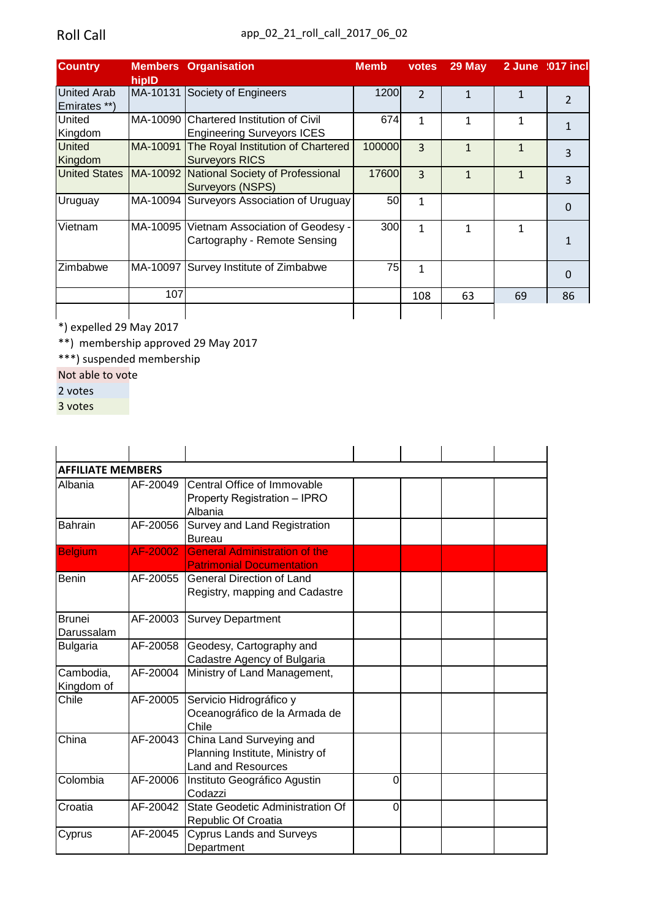| <b>Country</b>                     | hiplD    | <b>Members Organisation</b>                                                  | <b>Memb</b> | votes          | $29$ May     |    | 2 June 2017 incl |
|------------------------------------|----------|------------------------------------------------------------------------------|-------------|----------------|--------------|----|------------------|
| <b>United Arab</b><br>Emirates **) |          | MA-10131 Society of Engineers                                                | 1200        | $\overline{2}$ | $\mathbf{1}$ | 1  | $\overline{2}$   |
| <b>United</b><br>Kingdom           |          | MA-10090 Chartered Institution of Civil<br><b>Engineering Surveyors ICES</b> | 674         | 1              | 1            |    | 1                |
| <b>United</b><br>Kingdom           |          | MA-10091 The Royal Institution of Chartered<br><b>Surveyors RICS</b>         | 100000      | 3              | 1            | 1  | 3                |
| <b>United States</b>               |          | MA-10092 National Society of Professional<br>Surveyors (NSPS)                | 17600       | 3              | 1            |    | 3                |
| Uruguay                            |          | MA-10094 Surveyors Association of Uruguay                                    | 50          | $\mathbf{1}$   |              |    | $\Omega$         |
| Vietnam                            | MA-10095 | Vietnam Association of Geodesy -<br>Cartography - Remote Sensing             | 300         | 1              | 1            | 1  | 1                |
| <b>Zimbabwe</b>                    |          | MA-10097 Survey Institute of Zimbabwe                                        | 75          | 1              |              |    | 0                |
|                                    | 107      |                                                                              |             | 108            | 63           | 69 | 86               |

\*) expelled 29 May 2017

\*\*) membership approved 29 May 2017

\*\*\*) suspended membership

Not able to vote

2 votes

3 votes

| <b>AFFILIATE MEMBERS</b>    |          |                                                                                          |   |  |  |
|-----------------------------|----------|------------------------------------------------------------------------------------------|---|--|--|
| Albania                     | AF-20049 | Central Office of Immovable<br>Property Registration - IPRO<br>Albania                   |   |  |  |
| <b>Bahrain</b>              | AF-20056 | Survey and Land Registration<br><b>Bureau</b>                                            |   |  |  |
| <b>Belgium</b>              | AF-20002 | <b>General Administration of the</b><br><b>Patrimonial Documentation</b>                 |   |  |  |
| <b>Benin</b>                | AF-20055 | <b>General Direction of Land</b><br>Registry, mapping and Cadastre                       |   |  |  |
| <b>Brunei</b><br>Darussalam | AF-20003 | <b>Survey Department</b>                                                                 |   |  |  |
| <b>Bulgaria</b>             | AF-20058 | Geodesy, Cartography and<br>Cadastre Agency of Bulgaria                                  |   |  |  |
| Cambodia,<br>Kingdom of     | AF-20004 | Ministry of Land Management,                                                             |   |  |  |
| Chile                       | AF-20005 | Servicio Hidrográfico y<br>Oceanográfico de la Armada de<br>Chile                        |   |  |  |
| China                       | AF-20043 | China Land Surveying and<br>Planning Institute, Ministry of<br><b>Land and Resources</b> |   |  |  |
| Colombia                    | AF-20006 | Instituto Geográfico Agustin<br>Codazzi                                                  | 0 |  |  |
| Croatia                     | AF-20042 | State Geodetic Administration Of<br>Republic Of Croatia                                  | 0 |  |  |
| Cyprus                      | AF-20045 | <b>Cyprus Lands and Surveys</b><br>Department                                            |   |  |  |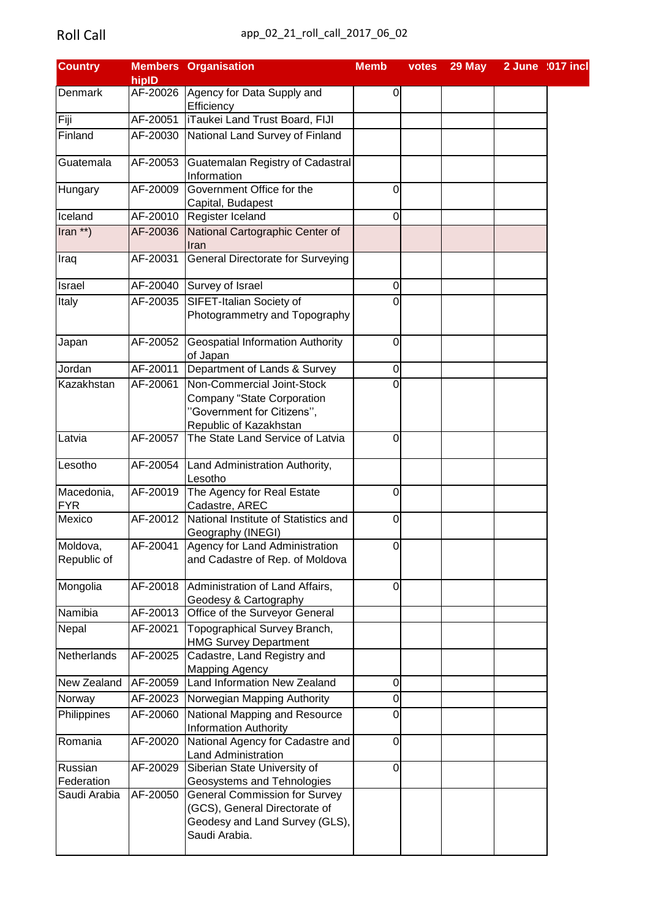| <b>Country</b> |          | <b>Members Organisation</b>               | <b>Memb</b>      | votes | 29 May | 2 June :017 incl |  |
|----------------|----------|-------------------------------------------|------------------|-------|--------|------------------|--|
|                | hipID    |                                           |                  |       |        |                  |  |
| <b>Denmark</b> |          | AF-20026 Agency for Data Supply and       | 0                |       |        |                  |  |
|                |          | Efficiency                                |                  |       |        |                  |  |
| Fiji           |          | AF-20051   iTaukei Land Trust Board, FIJI |                  |       |        |                  |  |
| Finland        |          | AF-20030 National Land Survey of Finland  |                  |       |        |                  |  |
| Guatemala      | AF-20053 | Guatemalan Registry of Cadastral          |                  |       |        |                  |  |
|                |          | Information                               |                  |       |        |                  |  |
| Hungary        | AF-20009 | Government Office for the                 | 0                |       |        |                  |  |
|                |          | Capital, Budapest                         |                  |       |        |                  |  |
| Iceland        |          | AF-20010 Register Iceland                 | 0                |       |        |                  |  |
| Iran **)       | AF-20036 | National Cartographic Center of           |                  |       |        |                  |  |
|                |          | Iran                                      |                  |       |        |                  |  |
| <b>Iraq</b>    | AF-20031 | <b>General Directorate for Surveying</b>  |                  |       |        |                  |  |
| Israel         |          | AF-20040 Survey of Israel                 | $\pmb{0}$        |       |        |                  |  |
| Italy          | AF-20035 | <b>SIFET-Italian Society of</b>           | 0                |       |        |                  |  |
|                |          | Photogrammetry and Topography             |                  |       |        |                  |  |
| Japan          | AF-20052 | <b>Geospatial Information Authority</b>   | $\Omega$         |       |        |                  |  |
|                |          | of Japan                                  |                  |       |        |                  |  |
| Jordan         | AF-20011 | Department of Lands & Survey              | $\mathbf 0$      |       |        |                  |  |
| Kazakhstan     | AF-20061 | Non-Commercial Joint-Stock                | $\Omega$         |       |        |                  |  |
|                |          | <b>Company "State Corporation</b>         |                  |       |        |                  |  |
|                |          | "Government for Citizens",                |                  |       |        |                  |  |
|                |          | Republic of Kazakhstan                    |                  |       |        |                  |  |
| Latvia         | AF-20057 | The State Land Service of Latvia          | 0                |       |        |                  |  |
|                |          |                                           |                  |       |        |                  |  |
| Lesotho        | AF-20054 | Land Administration Authority,            |                  |       |        |                  |  |
| Macedonia,     | AF-20019 | Lesotho<br>The Agency for Real Estate     | 0                |       |        |                  |  |
| <b>FYR</b>     |          | Cadastre, AREC                            |                  |       |        |                  |  |
| Mexico         | AF-20012 | National Institute of Statistics and      | $\overline{0}$   |       |        |                  |  |
|                |          | Geography (INEGI)                         |                  |       |        |                  |  |
| Moldova,       |          | AF-20041 Agency for Land Administration   | $\overline{0}$   |       |        |                  |  |
| Republic of    |          | and Cadastre of Rep. of Moldova           |                  |       |        |                  |  |
|                |          |                                           |                  |       |        |                  |  |
| Mongolia       | AF-20018 | Administration of Land Affairs,           | 0                |       |        |                  |  |
|                |          | Geodesy & Cartography                     |                  |       |        |                  |  |
| Namibia        | AF-20013 | Office of the Surveyor General            |                  |       |        |                  |  |
| Nepal          | AF-20021 | Topographical Survey Branch,              |                  |       |        |                  |  |
|                |          | <b>HMG Survey Department</b>              |                  |       |        |                  |  |
| Netherlands    | AF-20025 | Cadastre, Land Registry and               |                  |       |        |                  |  |
|                |          | <b>Mapping Agency</b>                     |                  |       |        |                  |  |
| New Zealand    | AF-20059 | Land Information New Zealand              | $\boldsymbol{0}$ |       |        |                  |  |
| Norway         | AF-20023 | Norwegian Mapping Authority               | $\pmb{0}$        |       |        |                  |  |
| Philippines    | AF-20060 | National Mapping and Resource             | 0                |       |        |                  |  |
|                |          | <b>Information Authority</b>              |                  |       |        |                  |  |
| Romania        | AF-20020 | National Agency for Cadastre and          | $\mathbf 0$      |       |        |                  |  |
|                |          | <b>Land Administration</b>                |                  |       |        |                  |  |
| Russian        | AF-20029 | Siberian State University of              | $\Omega$         |       |        |                  |  |
| Federation     |          | Geosystems and Tehnologies                |                  |       |        |                  |  |
| Saudi Arabia   | AF-20050 | <b>General Commission for Survey</b>      |                  |       |        |                  |  |
|                |          | (GCS), General Directorate of             |                  |       |        |                  |  |
|                |          | Geodesy and Land Survey (GLS),            |                  |       |        |                  |  |
|                |          | Saudi Arabia.                             |                  |       |        |                  |  |
|                |          |                                           |                  |       |        |                  |  |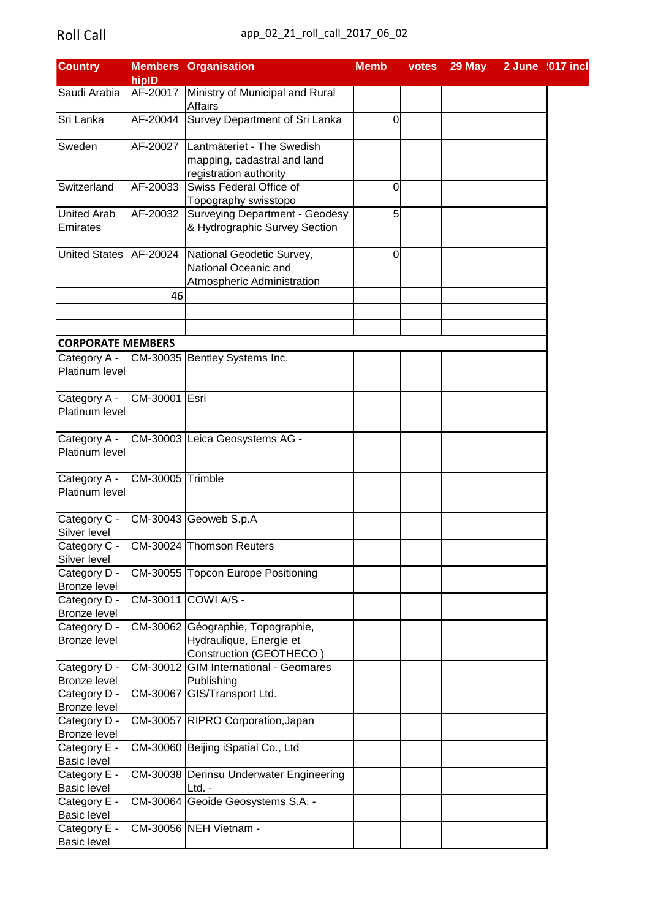| <b>Country</b>                      | hipID            | <b>Members Organisation</b>                                     | <b>Memb</b> | votes | 29 May | 2 June :017 incl |
|-------------------------------------|------------------|-----------------------------------------------------------------|-------------|-------|--------|------------------|
| Saudi Arabia                        | AF-20017         |                                                                 |             |       |        |                  |
|                                     |                  | Ministry of Municipal and Rural<br><b>Affairs</b>               |             |       |        |                  |
| Sri Lanka                           | AF-20044         | Survey Department of Sri Lanka                                  | 0           |       |        |                  |
| Sweden                              | AF-20027         | Lantmäteriet - The Swedish                                      |             |       |        |                  |
|                                     |                  | mapping, cadastral and land                                     |             |       |        |                  |
|                                     |                  | registration authority                                          |             |       |        |                  |
| Switzerland                         | AF-20033         | <b>Swiss Federal Office of</b>                                  | 0           |       |        |                  |
| <b>United Arab</b>                  |                  | Topography swisstopo<br>AF-20032 Surveying Department - Geodesy | 5           |       |        |                  |
| Emirates                            |                  | & Hydrographic Survey Section                                   |             |       |        |                  |
| <b>United States</b>                |                  | AF-20024 National Geodetic Survey,                              | 0           |       |        |                  |
|                                     |                  | National Oceanic and                                            |             |       |        |                  |
|                                     |                  | Atmospheric Administration                                      |             |       |        |                  |
|                                     | 46               |                                                                 |             |       |        |                  |
|                                     |                  |                                                                 |             |       |        |                  |
|                                     |                  |                                                                 |             |       |        |                  |
| <b>CORPORATE MEMBERS</b>            |                  |                                                                 |             |       |        |                  |
| Category A -                        |                  | CM-30035 Bentley Systems Inc.                                   |             |       |        |                  |
| Platinum level                      |                  |                                                                 |             |       |        |                  |
| Category A -                        | CM-30001 Esri    |                                                                 |             |       |        |                  |
| Platinum level                      |                  |                                                                 |             |       |        |                  |
| Category A -                        |                  | CM-30003 Leica Geosystems AG -                                  |             |       |        |                  |
| Platinum level                      |                  |                                                                 |             |       |        |                  |
| Category A -                        | CM-30005 Trimble |                                                                 |             |       |        |                  |
| Platinum level                      |                  |                                                                 |             |       |        |                  |
| Category C -                        |                  | CM-30043 Geoweb S.p.A                                           |             |       |        |                  |
| Silver level                        |                  |                                                                 |             |       |        |                  |
| Category C -                        |                  | CM-30024 Thomson Reuters                                        |             |       |        |                  |
| Silver level                        |                  |                                                                 |             |       |        |                  |
| Category D -                        |                  | CM-30055 Topcon Europe Positioning                              |             |       |        |                  |
| <b>Bronze level</b><br>Category D - |                  | CM-30011 COWI A/S -                                             |             |       |        |                  |
| <b>Bronze level</b>                 |                  |                                                                 |             |       |        |                  |
| Category D -                        |                  | CM-30062 Géographie, Topographie,                               |             |       |        |                  |
| <b>Bronze level</b>                 |                  | Hydraulique, Energie et                                         |             |       |        |                  |
|                                     |                  | Construction (GEOTHECO)                                         |             |       |        |                  |
| Category D -                        |                  | CM-30012 GIM International - Geomares                           |             |       |        |                  |
| Bronze level                        |                  | Publishing                                                      |             |       |        |                  |
| Category D -                        |                  | CM-30067 GIS/Transport Ltd.                                     |             |       |        |                  |
| <b>Bronze level</b>                 |                  |                                                                 |             |       |        |                  |
| Category D -                        |                  | CM-30057 RIPRO Corporation, Japan                               |             |       |        |                  |
| <b>Bronze level</b>                 |                  |                                                                 |             |       |        |                  |
| Category E -<br><b>Basic level</b>  |                  | CM-30060 Beijing iSpatial Co., Ltd                              |             |       |        |                  |
| Category E -                        |                  | CM-30038   Derinsu Underwater Engineering                       |             |       |        |                  |
| <b>Basic level</b>                  |                  | Ltd. -                                                          |             |       |        |                  |
| Category E -                        | CM-30064         | Geoide Geosystems S.A. -                                        |             |       |        |                  |
| <b>Basic level</b>                  |                  |                                                                 |             |       |        |                  |
| Category E -                        |                  | CM-30056 NEH Vietnam -                                          |             |       |        |                  |
| <b>Basic level</b>                  |                  |                                                                 |             |       |        |                  |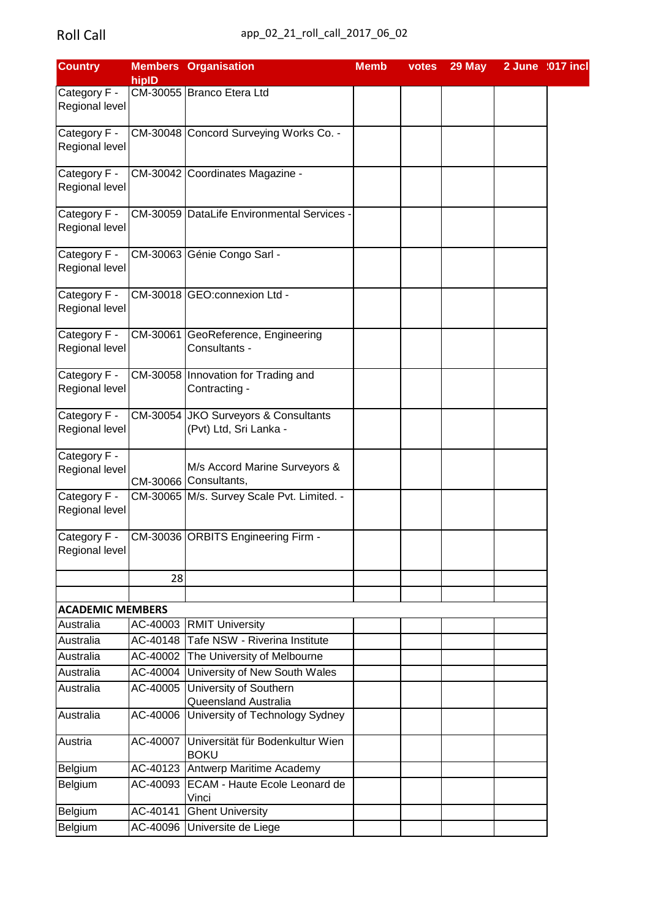| <b>Country</b>          |          | <b>Members Organisation</b>                | <b>Memb</b> | votes | 29 May | 2 June :017 incl |  |
|-------------------------|----------|--------------------------------------------|-------------|-------|--------|------------------|--|
|                         | hipID    |                                            |             |       |        |                  |  |
| Category F -            |          | CM-30055 Branco Etera Ltd                  |             |       |        |                  |  |
| Regional level          |          |                                            |             |       |        |                  |  |
|                         |          |                                            |             |       |        |                  |  |
| Category F -            |          | CM-30048 Concord Surveying Works Co. -     |             |       |        |                  |  |
| Regional level          |          |                                            |             |       |        |                  |  |
| Category F -            |          | CM-30042 Coordinates Magazine -            |             |       |        |                  |  |
| Regional level          |          |                                            |             |       |        |                  |  |
|                         |          |                                            |             |       |        |                  |  |
| Category F -            |          | CM-30059 DataLife Environmental Services   |             |       |        |                  |  |
| Regional level          |          |                                            |             |       |        |                  |  |
|                         |          |                                            |             |       |        |                  |  |
| Category F -            |          | CM-30063 Génie Congo Sarl -                |             |       |        |                  |  |
| Regional level          |          |                                            |             |       |        |                  |  |
|                         |          |                                            |             |       |        |                  |  |
| Category F -            |          | CM-30018 GEO:connexion Ltd -               |             |       |        |                  |  |
| Regional level          |          |                                            |             |       |        |                  |  |
|                         |          |                                            |             |       |        |                  |  |
| Category F -            |          | CM-30061 GeoReference, Engineering         |             |       |        |                  |  |
| Regional level          |          | Consultants -                              |             |       |        |                  |  |
| Category F -            |          |                                            |             |       |        |                  |  |
|                         |          | CM-30058 Innovation for Trading and        |             |       |        |                  |  |
| Regional level          |          | Contracting -                              |             |       |        |                  |  |
| Category F -            |          | CM-30054 JKO Surveyors & Consultants       |             |       |        |                  |  |
| Regional level          |          | (Pvt) Ltd, Sri Lanka -                     |             |       |        |                  |  |
|                         |          |                                            |             |       |        |                  |  |
| Category F -            |          |                                            |             |       |        |                  |  |
| Regional level          |          | M/s Accord Marine Surveyors &              |             |       |        |                  |  |
|                         |          | CM-30066 Consultants,                      |             |       |        |                  |  |
| Category F -            |          | CM-30065 M/s. Survey Scale Pvt. Limited. - |             |       |        |                  |  |
| Regional level          |          |                                            |             |       |        |                  |  |
|                         |          |                                            |             |       |        |                  |  |
| Category F -            |          | CM-30036 ORBITS Engineering Firm -         |             |       |        |                  |  |
| Regional level          |          |                                            |             |       |        |                  |  |
|                         |          |                                            |             |       |        |                  |  |
|                         | 28       |                                            |             |       |        |                  |  |
|                         |          |                                            |             |       |        |                  |  |
| <b>ACADEMIC MEMBERS</b> |          |                                            |             |       |        |                  |  |
| Australia               |          | AC-40003 RMIT University                   |             |       |        |                  |  |
| Australia               |          | AC-40148 Tafe NSW - Riverina Institute     |             |       |        |                  |  |
| Australia               | AC-40002 | The University of Melbourne                |             |       |        |                  |  |
| Australia               | AC-40004 | University of New South Wales              |             |       |        |                  |  |
| Australia               |          | AC-40005 University of Southern            |             |       |        |                  |  |
|                         |          | Queensland Australia                       |             |       |        |                  |  |
| Australia               | AC-40006 | University of Technology Sydney            |             |       |        |                  |  |
|                         |          |                                            |             |       |        |                  |  |
| Austria                 | AC-40007 | Universität für Bodenkultur Wien           |             |       |        |                  |  |
|                         |          | <b>BOKU</b>                                |             |       |        |                  |  |
| Belgium                 |          | AC-40123 Antwerp Maritime Academy          |             |       |        |                  |  |
| Belgium                 |          | AC-40093 ECAM - Haute Ecole Leonard de     |             |       |        |                  |  |
|                         |          | Vinci                                      |             |       |        |                  |  |
| Belgium                 | AC-40141 | <b>Ghent University</b>                    |             |       |        |                  |  |
| Belgium                 |          | AC-40096 Universite de Liege               |             |       |        |                  |  |
|                         |          |                                            |             |       |        |                  |  |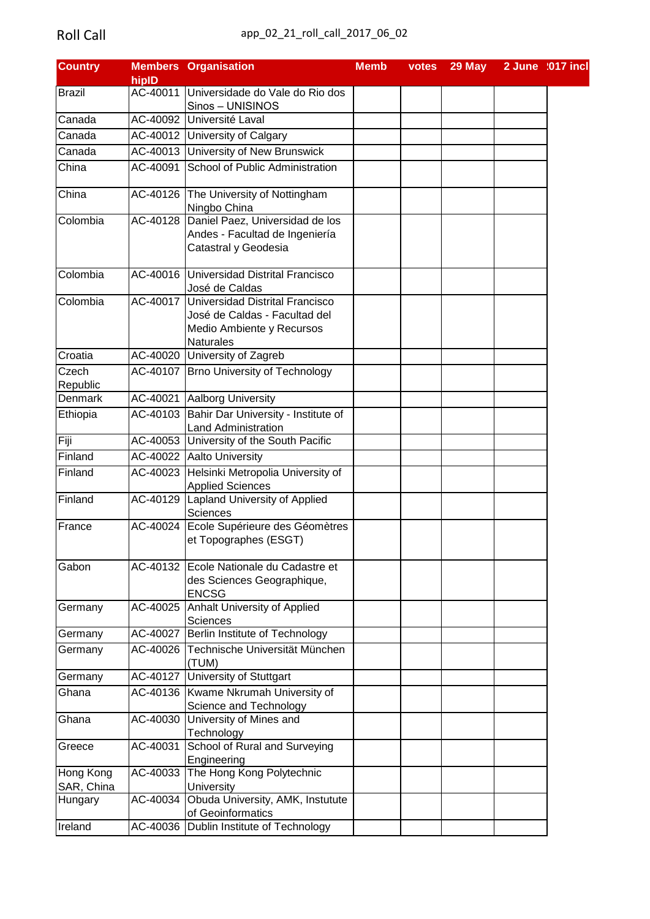| <b>Country</b>          |          | <b>Members Organisation</b>                                                                                                | <b>Memb</b> | votes | 29 May | 2 June :017 incl |  |
|-------------------------|----------|----------------------------------------------------------------------------------------------------------------------------|-------------|-------|--------|------------------|--|
|                         | hipID    |                                                                                                                            |             |       |        |                  |  |
| Brazil                  |          | AC-40011 Universidade do Vale do Rio dos                                                                                   |             |       |        |                  |  |
|                         |          | Sinos - UNISINOS                                                                                                           |             |       |        |                  |  |
| Canada                  |          | AC-40092 Université Laval                                                                                                  |             |       |        |                  |  |
| Canada                  |          | AC-40012 University of Calgary                                                                                             |             |       |        |                  |  |
| Canada                  |          | AC-40013 University of New Brunswick                                                                                       |             |       |        |                  |  |
| China                   |          | AC-40091 School of Public Administration                                                                                   |             |       |        |                  |  |
| China                   |          | AC-40126   The University of Nottingham<br>Ningbo China                                                                    |             |       |        |                  |  |
| Colombia                |          | AC-40128 Daniel Paez, Universidad de los<br>Andes - Facultad de Ingeniería<br>Catastral y Geodesia                         |             |       |        |                  |  |
| Colombia                |          | AC-40016 Universidad Distrital Francisco<br>José de Caldas                                                                 |             |       |        |                  |  |
| Colombia                |          | AC-40017 Universidad Distrital Francisco<br>José de Caldas - Facultad del<br>Medio Ambiente y Recursos<br><b>Naturales</b> |             |       |        |                  |  |
| Croatia                 |          | AC-40020 University of Zagreb                                                                                              |             |       |        |                  |  |
| Czech<br>Republic       |          | AC-40107 Brno University of Technology                                                                                     |             |       |        |                  |  |
| Denmark                 |          | AC-40021 Aalborg University                                                                                                |             |       |        |                  |  |
| Ethiopia                |          | AC-40103 Bahir Dar University - Institute of                                                                               |             |       |        |                  |  |
|                         |          | <b>Land Administration</b>                                                                                                 |             |       |        |                  |  |
| Fiji                    |          | AC-40053 University of the South Pacific                                                                                   |             |       |        |                  |  |
| Finland                 |          | AC-40022 Aalto University                                                                                                  |             |       |        |                  |  |
| Finland                 |          | AC-40023 Helsinki Metropolia University of<br><b>Applied Sciences</b>                                                      |             |       |        |                  |  |
| Finland                 |          | AC-40129 Lapland University of Applied<br>Sciences                                                                         |             |       |        |                  |  |
| France                  |          | AC-40024 Ecole Supérieure des Géomètres<br>et Topographes (ESGT)                                                           |             |       |        |                  |  |
| Gabon                   |          | AC-40132 Ecole Nationale du Cadastre et<br>des Sciences Geographique,<br><b>ENCSG</b>                                      |             |       |        |                  |  |
| Germany                 |          | AC-40025 Anhalt University of Applied<br>Sciences                                                                          |             |       |        |                  |  |
| Germany                 |          | AC-40027 Berlin Institute of Technology                                                                                    |             |       |        |                  |  |
| Germany                 |          | AC-40026 Technische Universität München<br>(TUM)                                                                           |             |       |        |                  |  |
| Germany                 |          | AC-40127 University of Stuttgart                                                                                           |             |       |        |                  |  |
| Ghana                   |          | AC-40136 Kwame Nkrumah University of                                                                                       |             |       |        |                  |  |
|                         |          | Science and Technology                                                                                                     |             |       |        |                  |  |
| Ghana                   |          | AC-40030 University of Mines and<br>Technology                                                                             |             |       |        |                  |  |
| Greece                  | AC-40031 | School of Rural and Surveying<br>Engineering                                                                               |             |       |        |                  |  |
| Hong Kong<br>SAR, China |          | AC-40033 The Hong Kong Polytechnic<br>University                                                                           |             |       |        |                  |  |
| Hungary                 |          | AC-40034 Obuda University, AMK, Instutute<br>of Geoinformatics                                                             |             |       |        |                  |  |
| Ireland                 |          | AC-40036   Dublin Institute of Technology                                                                                  |             |       |        |                  |  |
|                         |          |                                                                                                                            |             |       |        |                  |  |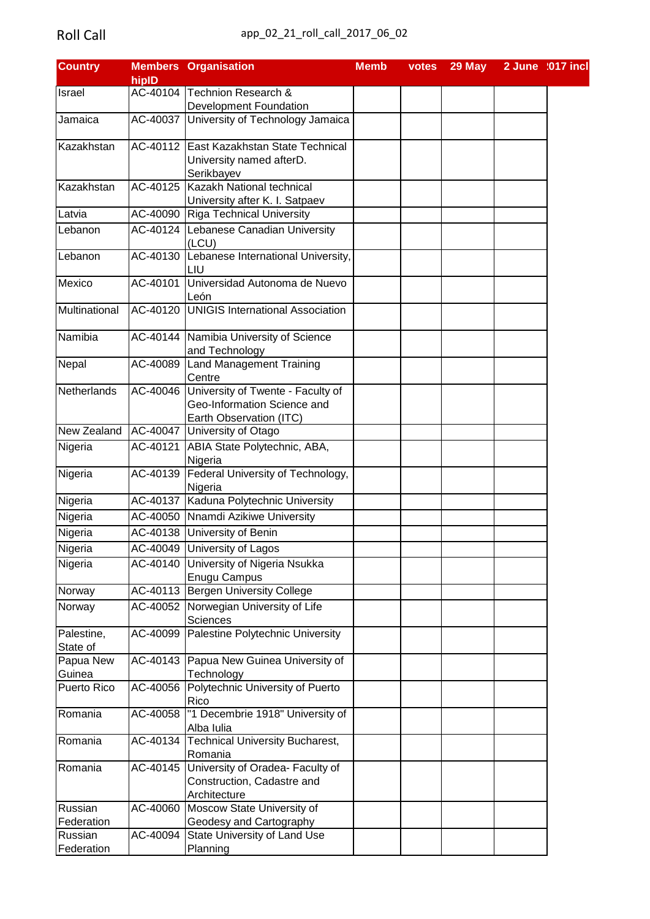| <b>Country</b>     |          | <b>Members Organisation</b>                  | <b>Memb</b> | votes | 29 May | 2 June :017 incl |
|--------------------|----------|----------------------------------------------|-------------|-------|--------|------------------|
|                    | hipID    |                                              |             |       |        |                  |
| Israel             |          | AC-40104 Technion Research &                 |             |       |        |                  |
|                    |          | <b>Development Foundation</b>                |             |       |        |                  |
| Jamaica            | AC-40037 | University of Technology Jamaica             |             |       |        |                  |
| Kazakhstan         |          | AC-40112 East Kazakhstan State Technical     |             |       |        |                  |
|                    |          | University named afterD.                     |             |       |        |                  |
|                    |          | Serikbayev                                   |             |       |        |                  |
| Kazakhstan         |          | AC-40125 Kazakh National technical           |             |       |        |                  |
|                    |          | University after K. I. Satpaev               |             |       |        |                  |
| Latvia             |          | AC-40090 Riga Technical University           |             |       |        |                  |
| Lebanon            |          | AC-40124 Lebanese Canadian University        |             |       |        |                  |
|                    |          | (LCU)                                        |             |       |        |                  |
| Lebanon            | AC-40130 | Lebanese International University,           |             |       |        |                  |
|                    |          | LIU                                          |             |       |        |                  |
| Mexico             | AC-40101 | Universidad Autonoma de Nuevo                |             |       |        |                  |
|                    |          | León                                         |             |       |        |                  |
| Multinational      | AC-40120 | <b>UNIGIS</b> International Association      |             |       |        |                  |
| Namibia            |          | AC-40144 Namibia University of Science       |             |       |        |                  |
|                    |          | and Technology                               |             |       |        |                  |
| Nepal              |          | AC-40089 Land Management Training            |             |       |        |                  |
|                    |          | Centre                                       |             |       |        |                  |
| Netherlands        |          | AC-40046 University of Twente - Faculty of   |             |       |        |                  |
|                    |          | Geo-Information Science and                  |             |       |        |                  |
|                    |          | Earth Observation (ITC)                      |             |       |        |                  |
| New Zealand        |          | AC-40047 University of Otago                 |             |       |        |                  |
| Nigeria            |          | AC-40121 ABIA State Polytechnic, ABA,        |             |       |        |                  |
|                    |          | Nigeria                                      |             |       |        |                  |
| Nigeria            |          | AC-40139   Federal University of Technology, |             |       |        |                  |
|                    |          | Nigeria                                      |             |       |        |                  |
| Nigeria            |          | AC-40137 Kaduna Polytechnic University       |             |       |        |                  |
| Nigeria            |          | AC-40050 Nnamdi Azikiwe University           |             |       |        |                  |
| Nigeria            |          | AC-40138 University of Benin                 |             |       |        |                  |
|                    |          |                                              |             |       |        |                  |
| Nigeria            |          | AC-40049 University of Lagos                 |             |       |        |                  |
| Nigeria            |          | AC-40140 University of Nigeria Nsukka        |             |       |        |                  |
|                    |          | <b>Enugu Campus</b>                          |             |       |        |                  |
| Norway             |          | AC-40113 Bergen University College           |             |       |        |                  |
| Norway             |          | AC-40052 Norwegian University of Life        |             |       |        |                  |
|                    |          | Sciences                                     |             |       |        |                  |
| Palestine,         |          | AC-40099 Palestine Polytechnic University    |             |       |        |                  |
| State of           |          |                                              |             |       |        |                  |
| Papua New          |          | AC-40143 Papua New Guinea University of      |             |       |        |                  |
| Guinea             |          | Technology                                   |             |       |        |                  |
| <b>Puerto Rico</b> |          | AC-40056 Polytechnic University of Puerto    |             |       |        |                  |
|                    |          | Rico                                         |             |       |        |                  |
| Romania            | AC-40058 | "1 Decembrie 1918" University of             |             |       |        |                  |
|                    |          | Alba Iulia                                   |             |       |        |                  |
| Romania            | AC-40134 | <b>Technical University Bucharest,</b>       |             |       |        |                  |
|                    |          | Romania                                      |             |       |        |                  |
| Romania            |          | AC-40145 University of Oradea- Faculty of    |             |       |        |                  |
|                    |          | Construction, Cadastre and                   |             |       |        |                  |
|                    |          | Architecture                                 |             |       |        |                  |
| Russian            | AC-40060 | Moscow State University of                   |             |       |        |                  |
| Federation         |          | Geodesy and Cartography                      |             |       |        |                  |
| Russian            | AC-40094 | State University of Land Use                 |             |       |        |                  |
| Federation         |          | Planning                                     |             |       |        |                  |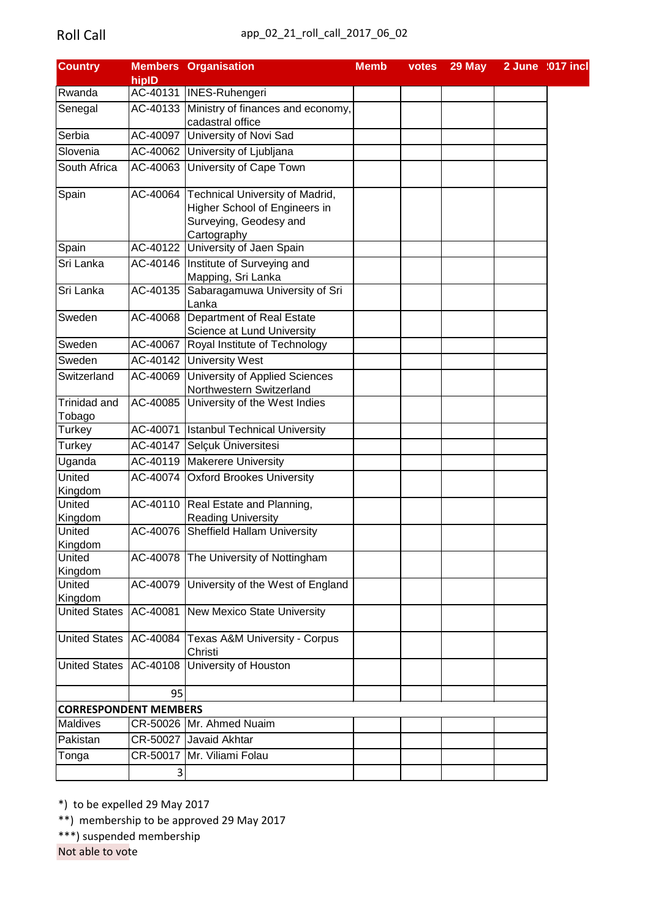| <b>Country</b>               |                        | <b>Members Organisation</b>                                                                                        | <b>Memb</b> | votes | 29 May | 2 June :017 incl |
|------------------------------|------------------------|--------------------------------------------------------------------------------------------------------------------|-------------|-------|--------|------------------|
|                              | hipID                  |                                                                                                                    |             |       |        |                  |
| Rwanda                       |                        | AC-40131 INES-Ruhengeri                                                                                            |             |       |        |                  |
| Senegal                      |                        | AC-40133 Ministry of finances and economy,<br>cadastral office                                                     |             |       |        |                  |
| Serbia                       |                        | AC-40097 University of Novi Sad                                                                                    |             |       |        |                  |
| Slovenia                     |                        | AC-40062 University of Ljubljana                                                                                   |             |       |        |                  |
| South Africa                 |                        | AC-40063 University of Cape Town                                                                                   |             |       |        |                  |
| Spain                        |                        | AC-40064 Technical University of Madrid,<br>Higher School of Engineers in<br>Surveying, Geodesy and<br>Cartography |             |       |        |                  |
| Spain                        |                        | AC-40122 University of Jaen Spain                                                                                  |             |       |        |                  |
| Sri Lanka                    |                        | AC-40146 Institute of Surveying and<br>Mapping, Sri Lanka                                                          |             |       |        |                  |
| Sri Lanka                    |                        | AC-40135 Sabaragamuwa University of Sri<br>Lanka                                                                   |             |       |        |                  |
| Sweden                       | $\overline{AC}$ -40068 | Department of Real Estate<br>Science at Lund University                                                            |             |       |        |                  |
| Sweden                       |                        | AC-40067 Royal Institute of Technology                                                                             |             |       |        |                  |
| Sweden                       |                        | AC-40142 University West                                                                                           |             |       |        |                  |
| Switzerland                  | AC-40069               | University of Applied Sciences<br>Northwestern Switzerland                                                         |             |       |        |                  |
| Trinidad and                 |                        | AC-40085 University of the West Indies                                                                             |             |       |        |                  |
| Tobago                       |                        |                                                                                                                    |             |       |        |                  |
| Turkey                       |                        | AC-40071   Istanbul Technical University                                                                           |             |       |        |                  |
| Turkey                       |                        | AC-40147 Selçuk Üniversitesi                                                                                       |             |       |        |                  |
| Uganda                       |                        | AC-40119 Makerere University                                                                                       |             |       |        |                  |
| United<br>Kingdom            |                        | AC-40074 Oxford Brookes University                                                                                 |             |       |        |                  |
| United                       |                        | AC-40110 Real Estate and Planning,                                                                                 |             |       |        |                  |
| Kingdom                      |                        | <b>Reading University</b>                                                                                          |             |       |        |                  |
| United<br>Kingdom            | AC-40076               | <b>Sheffield Hallam University</b>                                                                                 |             |       |        |                  |
| United<br>Kingdom            | AC-40078               | The University of Nottingham                                                                                       |             |       |        |                  |
| United<br>Kingdom            | AC-40079               | University of the West of England                                                                                  |             |       |        |                  |
| <b>United States</b>         | AC-40081               | <b>New Mexico State University</b>                                                                                 |             |       |        |                  |
| <b>United States</b>         | AC-40084               | Texas A&M University - Corpus<br>Christi                                                                           |             |       |        |                  |
| <b>United States</b>         | AC-40108               | <b>University of Houston</b>                                                                                       |             |       |        |                  |
|                              | 95                     |                                                                                                                    |             |       |        |                  |
| <b>CORRESPONDENT MEMBERS</b> |                        |                                                                                                                    |             |       |        |                  |
| Maldives                     |                        | CR-50026 Mr. Ahmed Nuaim                                                                                           |             |       |        |                  |
| Pakistan                     |                        | CR-50027 Javaid Akhtar                                                                                             |             |       |        |                  |
| Tonga                        | CR-50017               | Mr. Viliami Folau                                                                                                  |             |       |        |                  |
|                              | 3                      |                                                                                                                    |             |       |        |                  |
|                              |                        |                                                                                                                    |             |       |        |                  |

\*) to be expelled 29 May 2017

\*\*) membership to be approved 29 May 2017

\*\*\*) suspended membership

Not able to vote